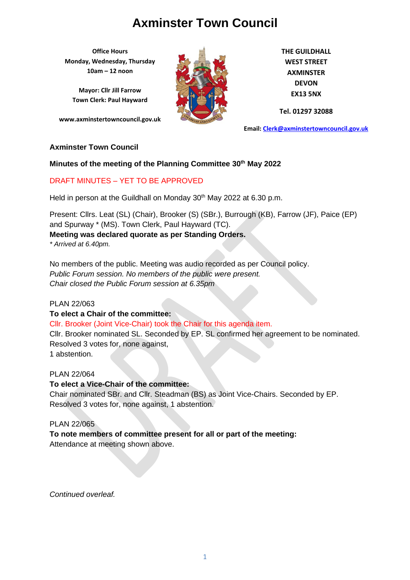**Office Hours Monday, Wednesday, Thursday 10am – 12 noon**

**Mayor: Cllr Jill Farrow Town Clerk: Paul Hayward**

**www.axminstertowncouncil.gov.uk**



**THE GUILDHALL WEST STREET AXMINSTER DEVON EX13 5NX**

**Tel. 01297 32088**

**Email: [Clerk@axminstertowncouncil.gov.uk](file://///axm-svr-1/company/Templates/Clerk@axminstertowncouncil.gov.uk)**

#### **Axminster Town Council**

#### **Minutes of the meeting of the Planning Committee 30th May 2022**

#### DRAFT MINUTES – YET TO BE APPROVED

Held in person at the Guildhall on Monday 30<sup>th</sup> May 2022 at 6.30 p.m.

Present: Cllrs. Leat (SL) (Chair), Brooker (S) (SBr.), Burrough (KB), Farrow (JF), Paice (EP) and Spurway \* (MS). Town Clerk, Paul Hayward (TC). **Meeting was declared quorate as per Standing Orders.**

*\* Arrived at 6.40pm.*

No members of the public. Meeting was audio recorded as per Council policy. *Public Forum session. No members of the public were present. Chair closed the Public Forum session at 6.35pm*

#### PLAN 22/063

#### **To elect a Chair of the committee:**

Cllr. Brooker (Joint Vice-Chair) took the Chair for this agenda item. Cllr. Brooker nominated SL. Seconded by EP. SL confirmed her agreement to be nominated. Resolved 3 votes for, none against, 1 abstention.

#### PLAN 22/064

**To elect a Vice-Chair of the committee:** Chair nominated SBr. and Cllr. Steadman (BS) as Joint Vice-Chairs. Seconded by EP. Resolved 3 votes for, none against, 1 abstention.

#### PLAN 22/065

## **To note members of committee present for all or part of the meeting:**

Attendance at meeting shown above.

*Continued overleaf.*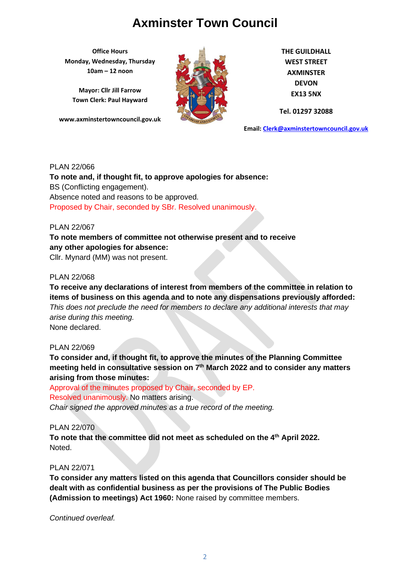**Office Hours Monday, Wednesday, Thursday 10am – 12 noon**

**Mayor: Cllr Jill Farrow Town Clerk: Paul Hayward**

**www.axminstertowncouncil.gov.uk**



**THE GUILDHALL WEST STREET AXMINSTER DEVON EX13 5NX**

**Tel. 01297 32088**

**Email: [Clerk@axminstertowncouncil.gov.uk](file://///axm-svr-1/company/Templates/Clerk@axminstertowncouncil.gov.uk)**

#### PLAN 22/066

**To note and, if thought fit, to approve apologies for absence:** BS (Conflicting engagement). Absence noted and reasons to be approved. Proposed by Chair, seconded by SBr. Resolved unanimously.

#### PLAN 22/067

## **To note members of committee not otherwise present and to receive any other apologies for absence:**

Cllr. Mynard (MM) was not present.

#### PLAN 22/068

**To receive any declarations of interest from members of the committee in relation to items of business on this agenda and to note any dispensations previously afforded:**  *This does not preclude the need for members to declare any additional interests that may arise during this meeting.* None declared.

#### PLAN 22/069

**To consider and, if thought fit, to approve the minutes of the Planning Committee meeting held in consultative session on 7 th March 2022 and to consider any matters arising from those minutes:**

Approval of the minutes proposed by Chair, seconded by EP.

## Resolved unanimously. No matters arising.

*Chair signed the approved minutes as a true record of the meeting.*

#### PLAN 22/070

**To note that the committee did not meet as scheduled on the 4th April 2022.** Noted.

#### PLAN 22/071

**To consider any matters listed on this agenda that Councillors consider should be dealt with as confidential business as per the provisions of The Public Bodies (Admission to meetings) Act 1960:** None raised by committee members.

*Continued overleaf.*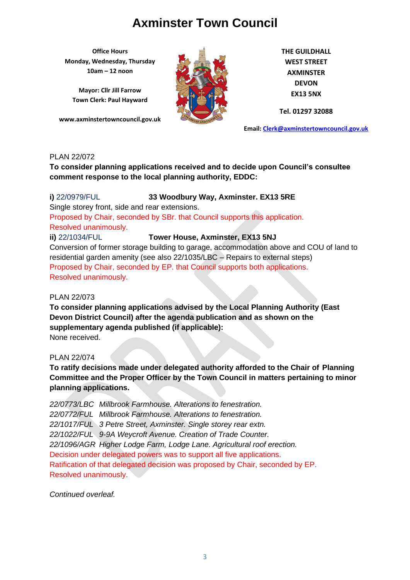**Office Hours Monday, Wednesday, Thursday 10am – 12 noon**

**Mayor: Cllr Jill Farrow Town Clerk: Paul Hayward**

**www.axminstertowncouncil.gov.uk**



**THE GUILDHALL WEST STREET AXMINSTER DEVON EX13 5NX**

**Tel. 01297 32088**

**Email: [Clerk@axminstertowncouncil.gov.uk](file://///axm-svr-1/company/Templates/Clerk@axminstertowncouncil.gov.uk)**

#### PLAN 22/072

**To consider planning applications received and to decide upon Council's consultee comment response to the local planning authority, EDDC:**

#### **TEL:** 0.297 3208 **i)** 22/0979/FUL **33 Woodbury Way, Axminster. EX13 5RE**

Single storey front, side and rear extensions.

Proposed by Chair, seconded by SBr. that Council supports this application. Resolved unanimously.

**ii)** 22/1034/FUL **Tower House, Axminster, EX13 5NJ**

Conversion of former storage building to garage, accommodation above and COU of land to residential garden amenity (see also 22/1035/LBC – Repairs to external steps) Proposed by Chair, seconded by EP. that Council supports both applications. Resolved unanimously.

### PLAN 22/073

**To consider planning applications advised by the Local Planning Authority (East Devon District Council) after the agenda publication and as shown on the supplementary agenda published (if applicable):** None received.

#### PLAN 22/074

**To ratify decisions made under delegated authority afforded to the Chair of Planning Committee and the Proper Officer by the Town Council in matters pertaining to minor planning applications.**

*22/0773/LBC Millbrook Farmhouse. Alterations to fenestration. 22/0772/FUL Millbrook Farmhouse. Alterations to fenestration. 22/1017/FUL 3 Petre Street, Axminster. Single storey rear extn. 22/1022/FUL 9-9A Weycroft Avenue. Creation of Trade Counter. 22/1096/AGR Higher Lodge Farm, Lodge Lane. Agricultural roof erection.* Decision under delegated powers was to support all five applications. Ratification of that delegated decision was proposed by Chair, seconded by EP. Resolved unanimously.

*Continued overleaf.*